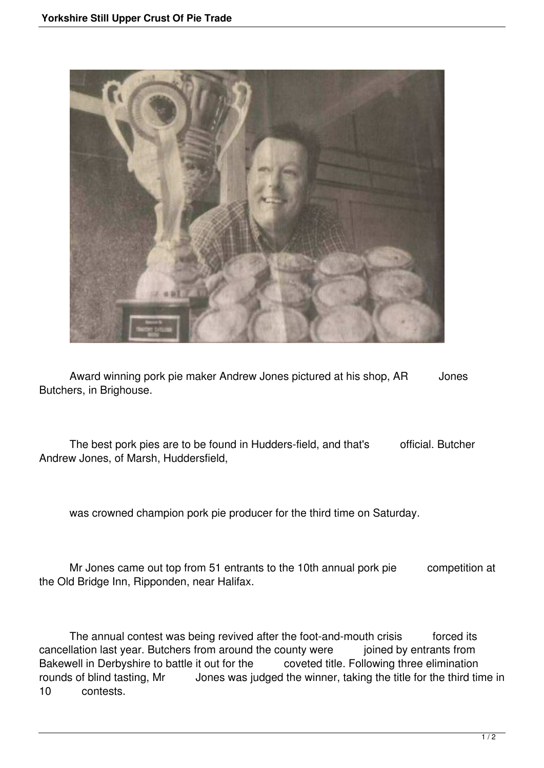

Award winning pork pie maker Andrew Jones pictured at his shop, AR Jones Butchers, in Brighouse.

The best pork pies are to be found in Hudders-field, and that's official. Butcher Andrew Jones, of Marsh, Huddersfield,

was crowned champion pork pie producer for the third time on Saturday.

 Mr Jones came out top from 51 entrants to the 10th annual pork pie competition at the Old Bridge Inn, Ripponden, near Halifax.

The annual contest was being revived after the foot-and-mouth crisis forced its cancellation last year. Butchers from around the county were joined by entrants from Bakewell in Derbyshire to battle it out for the coveted title. Following three elimination rounds of blind tasting, Mr Jones was judged the winner, taking the title for the third time in 10 contests.